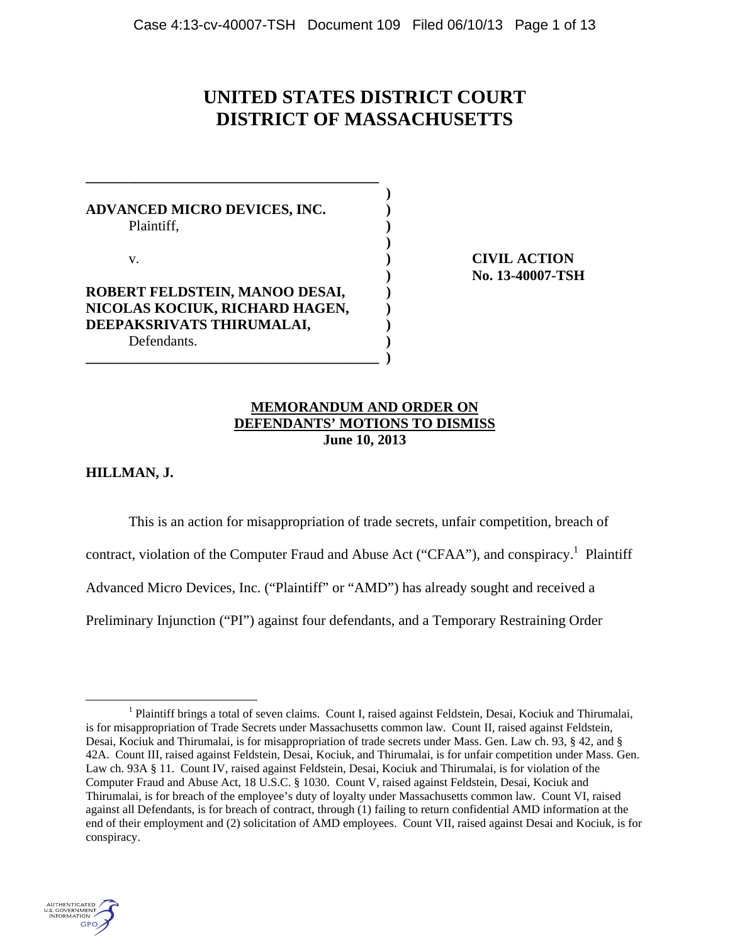# **UNITED STATES DISTRICT COURT DISTRICT OF MASSACHUSETTS**

**ADVANCED MICRO DEVICES, INC. )**  Plaintiff, **) )** 

**\_\_\_\_\_\_\_\_\_\_\_\_\_\_\_\_\_\_\_\_\_\_\_\_\_\_\_\_\_\_\_\_\_\_\_\_\_\_\_\_\_ )** 

**ROBERT FELDSTEIN, MANOO DESAI, ) NICOLAS KOCIUK, RICHARD HAGEN, ) DEEPAKSRIVATS THIRUMALAI, )**  Defendants. **)** 

**\_\_\_\_\_\_\_\_\_\_\_\_\_\_\_\_\_\_\_\_\_\_\_\_\_\_\_\_\_\_\_\_\_\_\_\_\_\_\_\_\_ )** 

v. **) CIVIL ACTION ) No. 13-40007-TSH**

## **MEMORANDUM AND ORDER ON DEFENDANTS' MOTIONS TO DISMISS June 10, 2013**

**HILLMAN, J.** 

This is an action for misappropriation of trade secrets, unfair competition, breach of contract, violation of the Computer Fraud and Abuse Act ("CFAA"), and conspiracy.<sup>1</sup> Plaintiff Advanced Micro Devices, Inc. ("Plaintiff" or "AMD") has already sought and received a Preliminary Injunction ("PI") against four defendants, and a Temporary Restraining Order



 $\frac{1}{1}$ <sup>1</sup> Plaintiff brings a total of seven claims. Count I, raised against Feldstein, Desai, Kociuk and Thirumalai, is for misappropriation of Trade Secrets under Massachusetts common law. Count II, raised against Feldstein, Desai, Kociuk and Thirumalai, is for misappropriation of trade secrets under Mass. Gen. Law ch. 93, § 42, and § 42A. Count III, raised against Feldstein, Desai, Kociuk, and Thirumalai, is for unfair competition under Mass. Gen. Law ch. 93A § 11. Count IV, raised against Feldstein, Desai, Kociuk and Thirumalai, is for violation of the Computer Fraud and Abuse Act, 18 U.S.C. § 1030. Count V, raised against Feldstein, Desai, Kociuk and Thirumalai, is for breach of the employee's duty of loyalty under Massachusetts common law. Count VI, raised against all Defendants, is for breach of contract, through (1) failing to return confidential AMD information at the end of their employment and (2) solicitation of AMD employees. Count VII, raised against Desai and Kociuk, is for conspiracy.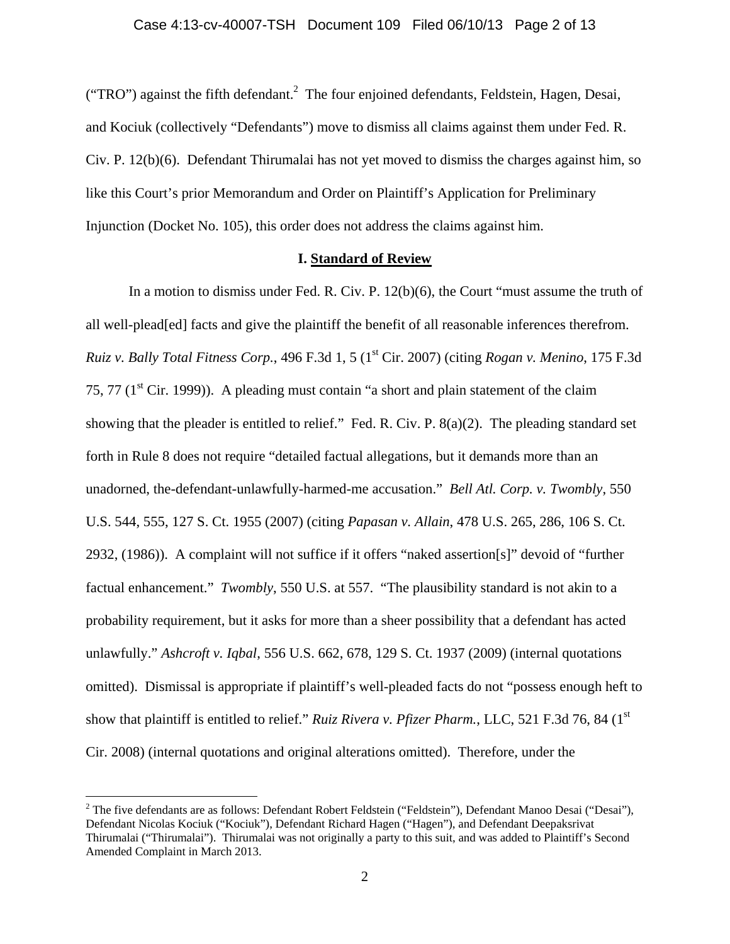("TRO") against the fifth defendant.<sup>2</sup> The four enjoined defendants, Feldstein, Hagen, Desai, and Kociuk (collectively "Defendants") move to dismiss all claims against them under Fed. R. Civ. P. 12(b)(6). Defendant Thirumalai has not yet moved to dismiss the charges against him, so like this Court's prior Memorandum and Order on Plaintiff's Application for Preliminary Injunction (Docket No. 105), this order does not address the claims against him.

#### **I. Standard of Review**

In a motion to dismiss under Fed. R. Civ. P. 12(b)(6), the Court "must assume the truth of all well-plead[ed] facts and give the plaintiff the benefit of all reasonable inferences therefrom. *Ruiz v. Bally Total Fitness Corp.*, 496 F.3d 1, 5 (1st Cir. 2007) (citing *Rogan v. Menino*, 175 F.3d 75, 77 ( $1<sup>st</sup>$  Cir. 1999)). A pleading must contain "a short and plain statement of the claim showing that the pleader is entitled to relief." Fed. R. Civ. P. 8(a)(2). The pleading standard set forth in Rule 8 does not require "detailed factual allegations, but it demands more than an unadorned, the-defendant-unlawfully-harmed-me accusation." *Bell Atl. Corp. v. Twombly*, 550 U.S. 544, 555, 127 S. Ct. 1955 (2007) (citing *Papasan v. Allain*, 478 U.S. 265, 286, 106 S. Ct. 2932, (1986)). A complaint will not suffice if it offers "naked assertion[s]" devoid of "further factual enhancement." *Twombly*, 550 U.S. at 557. "The plausibility standard is not akin to a probability requirement, but it asks for more than a sheer possibility that a defendant has acted unlawfully." *Ashcroft v. Iqbal*, 556 U.S. 662, 678, 129 S. Ct. 1937 (2009) (internal quotations omitted). Dismissal is appropriate if plaintiff's well-pleaded facts do not "possess enough heft to show that plaintiff is entitled to relief." *Ruiz Rivera v. Pfizer Pharm.*, LLC, 521 F.3d 76, 84 (1<sup>st</sup>) Cir. 2008) (internal quotations and original alterations omitted). Therefore, under the

<u>.</u>

<sup>&</sup>lt;sup>2</sup> The five defendants are as follows: Defendant Robert Feldstein ("Feldstein"), Defendant Manoo Desai ("Desai"), Defendant Nicolas Kociuk ("Kociuk"), Defendant Richard Hagen ("Hagen"), and Defendant Deepaksrivat Thirumalai ("Thirumalai"). Thirumalai was not originally a party to this suit, and was added to Plaintiff's Second Amended Complaint in March 2013.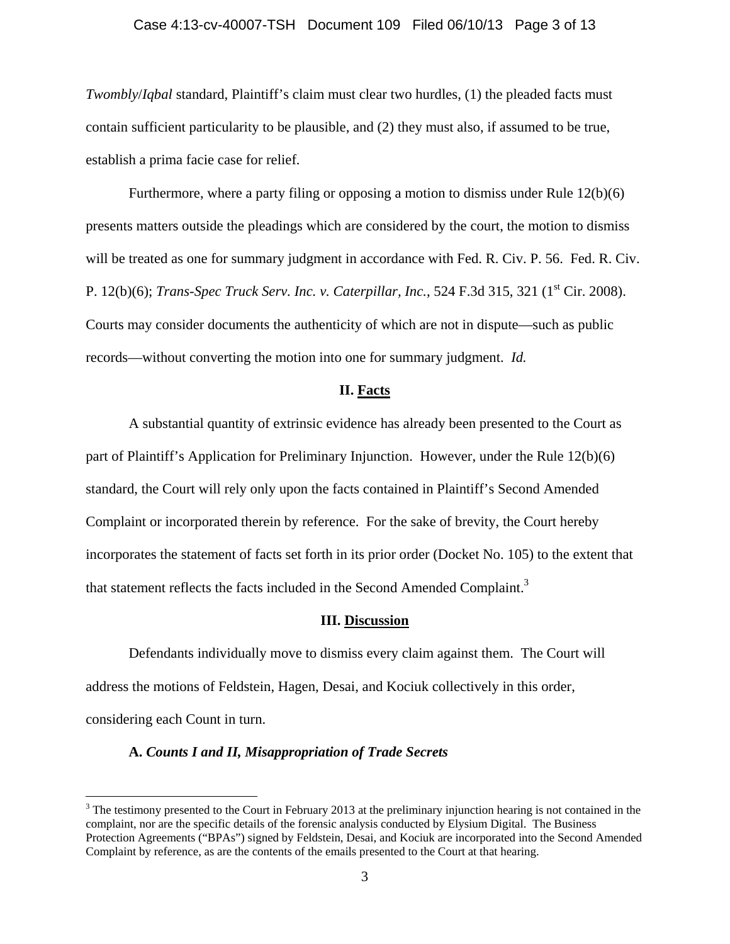#### Case 4:13-cv-40007-TSH Document 109 Filed 06/10/13 Page 3 of 13

*Twombly*/*Iqbal* standard, Plaintiff's claim must clear two hurdles, (1) the pleaded facts must contain sufficient particularity to be plausible, and (2) they must also, if assumed to be true, establish a prima facie case for relief.

Furthermore, where a party filing or opposing a motion to dismiss under Rule 12(b)(6) presents matters outside the pleadings which are considered by the court, the motion to dismiss will be treated as one for summary judgment in accordance with Fed. R. Civ. P. 56. Fed. R. Civ. P. 12(b)(6); *Trans-Spec Truck Serv. Inc. v. Caterpillar, Inc.*, 524 F.3d 315, 321 (1<sup>st</sup> Cir. 2008). Courts may consider documents the authenticity of which are not in dispute—such as public records—without converting the motion into one for summary judgment. *Id.* 

#### **II. Facts**

 A substantial quantity of extrinsic evidence has already been presented to the Court as part of Plaintiff's Application for Preliminary Injunction. However, under the Rule 12(b)(6) standard, the Court will rely only upon the facts contained in Plaintiff's Second Amended Complaint or incorporated therein by reference. For the sake of brevity, the Court hereby incorporates the statement of facts set forth in its prior order (Docket No. 105) to the extent that that statement reflects the facts included in the Second Amended Complaint.<sup>3</sup>

#### **III. Discussion**

 Defendants individually move to dismiss every claim against them. The Court will address the motions of Feldstein, Hagen, Desai, and Kociuk collectively in this order, considering each Count in turn.

### **A.** *Counts I and II, Misappropriation of Trade Secrets*

 $3$  The testimony presented to the Court in February 2013 at the preliminary injunction hearing is not contained in the complaint, nor are the specific details of the forensic analysis conducted by Elysium Digital. The Business Protection Agreements ("BPAs") signed by Feldstein, Desai, and Kociuk are incorporated into the Second Amended Complaint by reference, as are the contents of the emails presented to the Court at that hearing.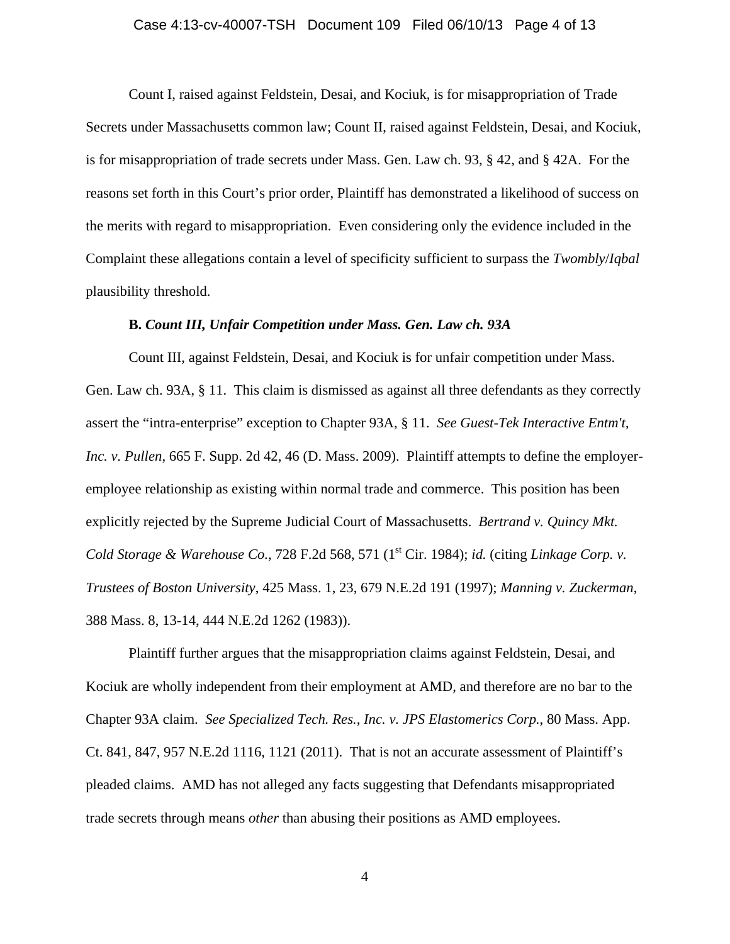#### Case 4:13-cv-40007-TSH Document 109 Filed 06/10/13 Page 4 of 13

Count I, raised against Feldstein, Desai, and Kociuk, is for misappropriation of Trade Secrets under Massachusetts common law; Count II, raised against Feldstein, Desai, and Kociuk, is for misappropriation of trade secrets under Mass. Gen. Law ch. 93, § 42, and § 42A. For the reasons set forth in this Court's prior order, Plaintiff has demonstrated a likelihood of success on the merits with regard to misappropriation. Even considering only the evidence included in the Complaint these allegations contain a level of specificity sufficient to surpass the *Twombly*/*Iqbal*  plausibility threshold.

#### **B.** *Count III, Unfair Competition under Mass. Gen. Law ch. 93A*

Count III, against Feldstein, Desai, and Kociuk is for unfair competition under Mass. Gen. Law ch. 93A, § 11. This claim is dismissed as against all three defendants as they correctly assert the "intra-enterprise" exception to Chapter 93A, § 11. *See Guest-Tek Interactive Entm't, Inc. v. Pullen*, 665 F. Supp. 2d 42, 46 (D. Mass. 2009). Plaintiff attempts to define the employeremployee relationship as existing within normal trade and commerce. This position has been explicitly rejected by the Supreme Judicial Court of Massachusetts. *Bertrand v. Quincy Mkt. Cold Storage & Warehouse Co., 728 F.2d 568, 571 (1<sup>st</sup> Cir. 1984); <i>id.* (citing *Linkage Corp. v. Trustees of Boston University*, 425 Mass. 1, 23, 679 N.E.2d 191 (1997); *Manning v. Zuckerman*, 388 Mass. 8, 13-14, 444 N.E.2d 1262 (1983)).

Plaintiff further argues that the misappropriation claims against Feldstein, Desai, and Kociuk are wholly independent from their employment at AMD, and therefore are no bar to the Chapter 93A claim. *See Specialized Tech. Res., Inc. v. JPS Elastomerics Corp.*, 80 Mass. App. Ct. 841, 847, 957 N.E.2d 1116, 1121 (2011). That is not an accurate assessment of Plaintiff's pleaded claims. AMD has not alleged any facts suggesting that Defendants misappropriated trade secrets through means *other* than abusing their positions as AMD employees.

4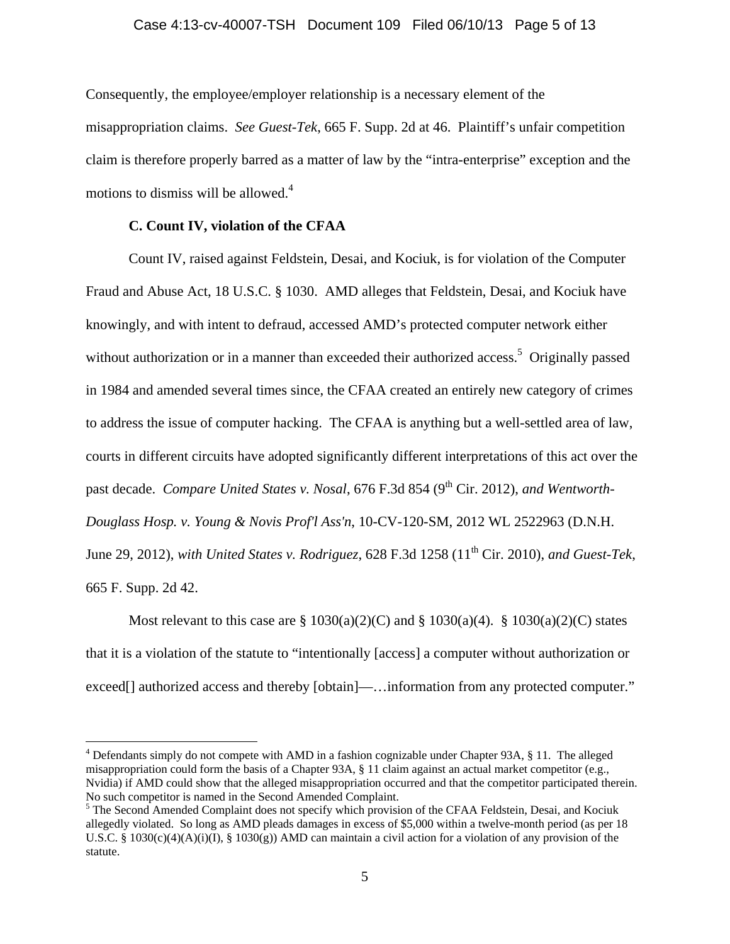#### Case 4:13-cv-40007-TSH Document 109 Filed 06/10/13 Page 5 of 13

Consequently, the employee/employer relationship is a necessary element of the misappropriation claims. *See Guest-Tek*, 665 F. Supp. 2d at 46. Plaintiff's unfair competition claim is therefore properly barred as a matter of law by the "intra-enterprise" exception and the motions to dismiss will be allowed. $4$ 

#### **C. Count IV, violation of the CFAA**

 $\overline{a}$ 

Count IV, raised against Feldstein, Desai, and Kociuk, is for violation of the Computer Fraud and Abuse Act, 18 U.S.C. § 1030. AMD alleges that Feldstein, Desai, and Kociuk have knowingly, and with intent to defraud, accessed AMD's protected computer network either without authorization or in a manner than exceeded their authorized access.<sup>5</sup> Originally passed in 1984 and amended several times since, the CFAA created an entirely new category of crimes to address the issue of computer hacking. The CFAA is anything but a well-settled area of law, courts in different circuits have adopted significantly different interpretations of this act over the past decade. *Compare United States v. Nosal*, 676 F.3d 854 (9<sup>th</sup> Cir. 2012), *and Wentworth-Douglass Hosp. v. Young & Novis Prof'l Ass'n*, 10-CV-120-SM, 2012 WL 2522963 (D.N.H. June 29, 2012), *with United States v. Rodriguez*, 628 F.3d 1258 (11th Cir. 2010), *and Guest-Tek*, 665 F. Supp. 2d 42.

Most relevant to this case are  $\S 1030(a)(2)(C)$  and  $\S 1030(a)(4)$ .  $\S 1030(a)(2)(C)$  states that it is a violation of the statute to "intentionally [access] a computer without authorization or exceed<sup>[]</sup> authorized access and thereby [obtain]—... information from any protected computer."

<sup>&</sup>lt;sup>4</sup> Defendants simply do not compete with AMD in a fashion cognizable under Chapter 93A, § 11. The alleged misappropriation could form the basis of a Chapter 93A, § 11 claim against an actual market competitor (e.g., Nvidia) if AMD could show that the alleged misappropriation occurred and that the competitor participated therein. No such competitor is named in the Second Amended Complaint.

<sup>&</sup>lt;sup>5</sup> The Second Amended Complaint does not specify which provision of the CFAA Feldstein, Desai, and Kociuk allegedly violated. So long as AMD pleads damages in excess of \$5,000 within a twelve-month period (as per 18 U.S.C. § 1030(c)(4)(A)(i)(I), § 1030(g)) AMD can maintain a civil action for a violation of any provision of the statute.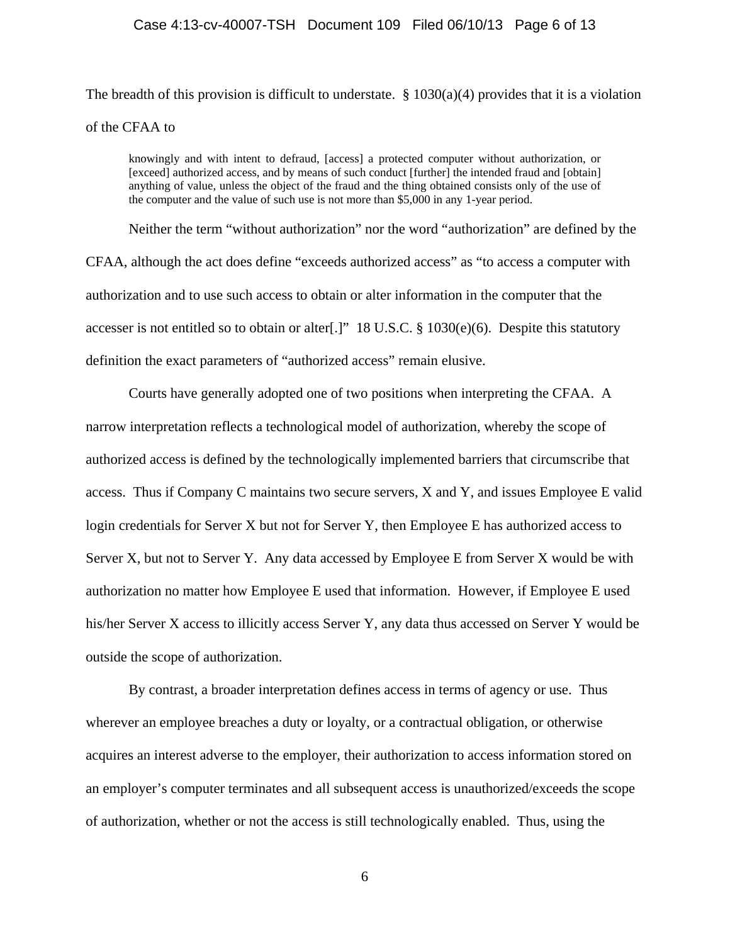#### Case 4:13-cv-40007-TSH Document 109 Filed 06/10/13 Page 6 of 13

The breadth of this provision is difficult to understate.  $\S 1030(a)(4)$  provides that it is a violation of the CFAA to

knowingly and with intent to defraud, [access] a protected computer without authorization, or [exceed] authorized access, and by means of such conduct [further] the intended fraud and [obtain] anything of value, unless the object of the fraud and the thing obtained consists only of the use of the computer and the value of such use is not more than \$5,000 in any 1-year period.

Neither the term "without authorization" nor the word "authorization" are defined by the CFAA, although the act does define "exceeds authorized access" as "to access a computer with authorization and to use such access to obtain or alter information in the computer that the accesser is not entitled so to obtain or alter[.]" 18 U.S.C. § 1030(e)(6). Despite this statutory definition the exact parameters of "authorized access" remain elusive.

Courts have generally adopted one of two positions when interpreting the CFAA. A narrow interpretation reflects a technological model of authorization, whereby the scope of authorized access is defined by the technologically implemented barriers that circumscribe that access. Thus if Company C maintains two secure servers, X and Y, and issues Employee E valid login credentials for Server X but not for Server Y, then Employee E has authorized access to Server X, but not to Server Y. Any data accessed by Employee E from Server X would be with authorization no matter how Employee E used that information. However, if Employee E used his/her Server X access to illicitly access Server Y, any data thus accessed on Server Y would be outside the scope of authorization.

By contrast, a broader interpretation defines access in terms of agency or use. Thus wherever an employee breaches a duty or loyalty, or a contractual obligation, or otherwise acquires an interest adverse to the employer, their authorization to access information stored on an employer's computer terminates and all subsequent access is unauthorized/exceeds the scope of authorization, whether or not the access is still technologically enabled. Thus, using the

6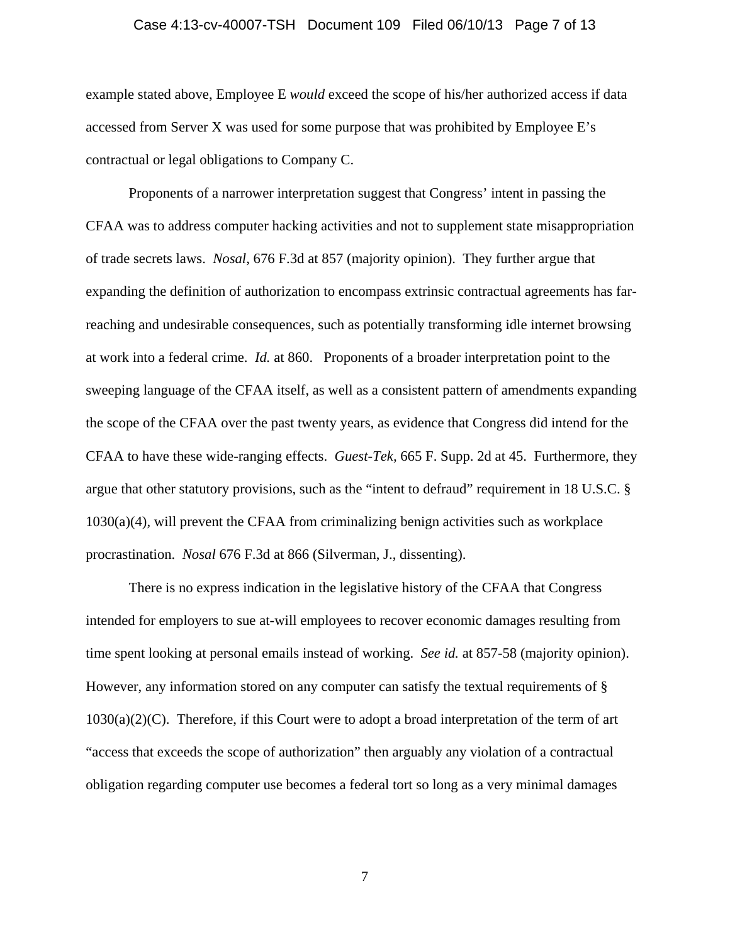#### Case 4:13-cv-40007-TSH Document 109 Filed 06/10/13 Page 7 of 13

example stated above, Employee E *would* exceed the scope of his/her authorized access if data accessed from Server X was used for some purpose that was prohibited by Employee E's contractual or legal obligations to Company C.

Proponents of a narrower interpretation suggest that Congress' intent in passing the CFAA was to address computer hacking activities and not to supplement state misappropriation of trade secrets laws. *Nosal*, 676 F.3d at 857 (majority opinion).They further argue that expanding the definition of authorization to encompass extrinsic contractual agreements has farreaching and undesirable consequences, such as potentially transforming idle internet browsing at work into a federal crime. *Id.* at 860. Proponents of a broader interpretation point to the sweeping language of the CFAA itself, as well as a consistent pattern of amendments expanding the scope of the CFAA over the past twenty years, as evidence that Congress did intend for the CFAA to have these wide-ranging effects. *Guest-Tek,* 665 F. Supp. 2d at 45. Furthermore, they argue that other statutory provisions, such as the "intent to defraud" requirement in 18 U.S.C. § 1030(a)(4), will prevent the CFAA from criminalizing benign activities such as workplace procrastination. *Nosal* 676 F.3d at 866 (Silverman, J., dissenting).

There is no express indication in the legislative history of the CFAA that Congress intended for employers to sue at-will employees to recover economic damages resulting from time spent looking at personal emails instead of working. *See id.* at 857-58 (majority opinion). However, any information stored on any computer can satisfy the textual requirements of §  $1030(a)(2)(C)$ . Therefore, if this Court were to adopt a broad interpretation of the term of art "access that exceeds the scope of authorization" then arguably any violation of a contractual obligation regarding computer use becomes a federal tort so long as a very minimal damages

7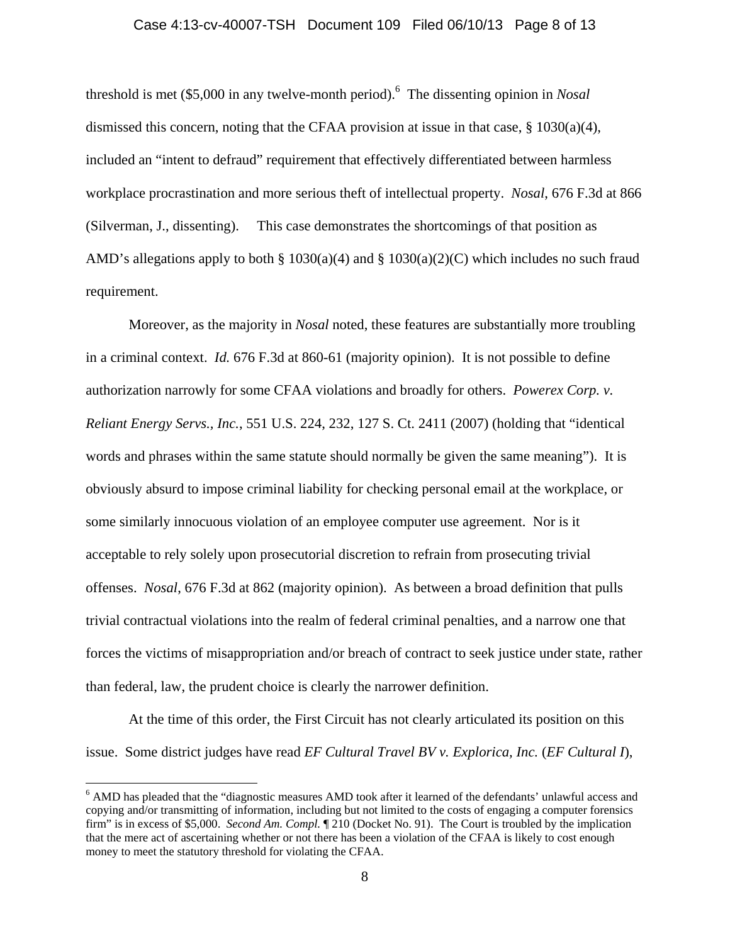#### Case 4:13-cv-40007-TSH Document 109 Filed 06/10/13 Page 8 of 13

threshold is met (\$5,000 in any twelve-month period).6 The dissenting opinion in *Nosal* dismissed this concern, noting that the CFAA provision at issue in that case, § 1030(a)(4), included an "intent to defraud" requirement that effectively differentiated between harmless workplace procrastination and more serious theft of intellectual property. *Nosal*, 676 F.3d at 866 (Silverman, J., dissenting). This case demonstrates the shortcomings of that position as AMD's allegations apply to both § 1030(a)(4) and § 1030(a)(2)(C) which includes no such fraud requirement.

Moreover, as the majority in *Nosal* noted, these features are substantially more troubling in a criminal context. *Id.* 676 F.3d at 860-61 (majority opinion). It is not possible to define authorization narrowly for some CFAA violations and broadly for others. *Powerex Corp. v. Reliant Energy Servs., Inc.*, 551 U.S. 224, 232, 127 S. Ct. 2411 (2007) (holding that "identical words and phrases within the same statute should normally be given the same meaning"). It is obviously absurd to impose criminal liability for checking personal email at the workplace, or some similarly innocuous violation of an employee computer use agreement. Nor is it acceptable to rely solely upon prosecutorial discretion to refrain from prosecuting trivial offenses. *Nosal*, 676 F.3d at 862 (majority opinion). As between a broad definition that pulls trivial contractual violations into the realm of federal criminal penalties, and a narrow one that forces the victims of misappropriation and/or breach of contract to seek justice under state, rather than federal, law, the prudent choice is clearly the narrower definition.

At the time of this order, the First Circuit has not clearly articulated its position on this issue. Some district judges have read *EF Cultural Travel BV v. Explorica, Inc.* (*EF Cultural I*),

<sup>&</sup>lt;sup>6</sup> AMD has pleaded that the "diagnostic measures AMD took after it learned of the defendants' unlawful access and copying and/or transmitting of information, including but not limited to the costs of engaging a computer forensics firm" is in excess of \$5,000. *Second Am. Compl.* ¶ 210 (Docket No. 91). The Court is troubled by the implication that the mere act of ascertaining whether or not there has been a violation of the CFAA is likely to cost enough money to meet the statutory threshold for violating the CFAA.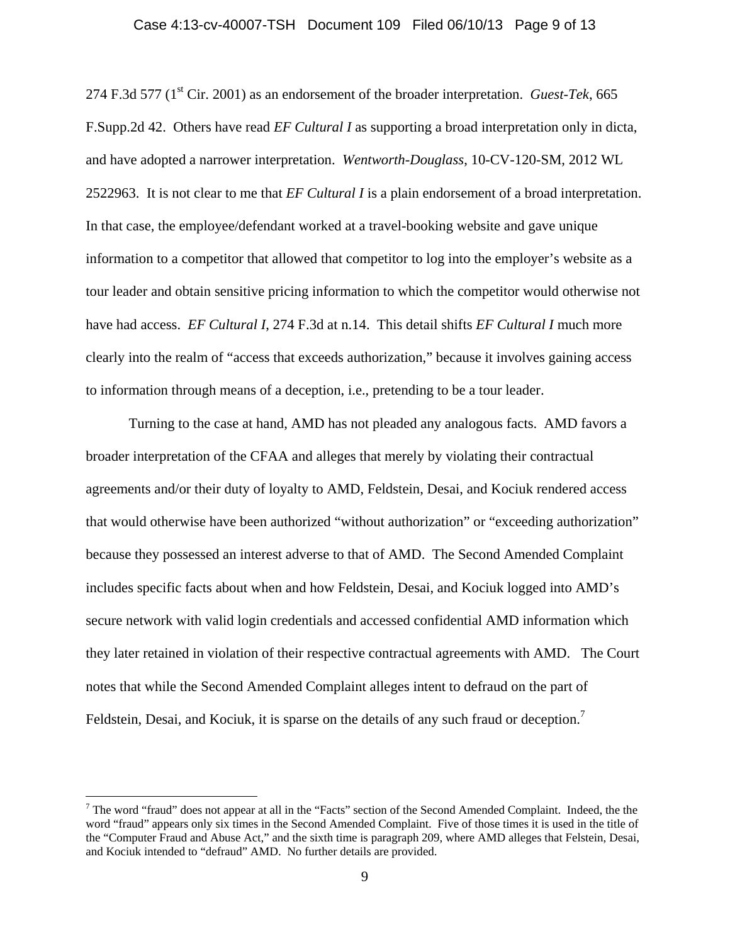#### Case 4:13-cv-40007-TSH Document 109 Filed 06/10/13 Page 9 of 13

274 F.3d 577 (1st Cir. 2001) as an endorsement of the broader interpretation. *Guest-Tek*, 665 F.Supp.2d 42. Others have read *EF Cultural I* as supporting a broad interpretation only in dicta, and have adopted a narrower interpretation. *Wentworth-Douglass*, 10-CV-120-SM, 2012 WL 2522963. It is not clear to me that *EF Cultural I* is a plain endorsement of a broad interpretation. In that case, the employee/defendant worked at a travel-booking website and gave unique information to a competitor that allowed that competitor to log into the employer's website as a tour leader and obtain sensitive pricing information to which the competitor would otherwise not have had access. *EF Cultural I*, 274 F.3d at n.14. This detail shifts *EF Cultural I* much more clearly into the realm of "access that exceeds authorization," because it involves gaining access to information through means of a deception, i.e., pretending to be a tour leader.

Turning to the case at hand, AMD has not pleaded any analogous facts. AMD favors a broader interpretation of the CFAA and alleges that merely by violating their contractual agreements and/or their duty of loyalty to AMD, Feldstein, Desai, and Kociuk rendered access that would otherwise have been authorized "without authorization" or "exceeding authorization" because they possessed an interest adverse to that of AMD. The Second Amended Complaint includes specific facts about when and how Feldstein, Desai, and Kociuk logged into AMD's secure network with valid login credentials and accessed confidential AMD information which they later retained in violation of their respective contractual agreements with AMD. The Court notes that while the Second Amended Complaint alleges intent to defraud on the part of Feldstein, Desai, and Kociuk, it is sparse on the details of any such fraud or deception.<sup>7</sup>

 $<sup>7</sup>$  The word "fraud" does not appear at all in the "Facts" section of the Second Amended Complaint. Indeed, the the</sup> word "fraud" appears only six times in the Second Amended Complaint. Five of those times it is used in the title of the "Computer Fraud and Abuse Act," and the sixth time is paragraph 209, where AMD alleges that Felstein, Desai, and Kociuk intended to "defraud" AMD. No further details are provided.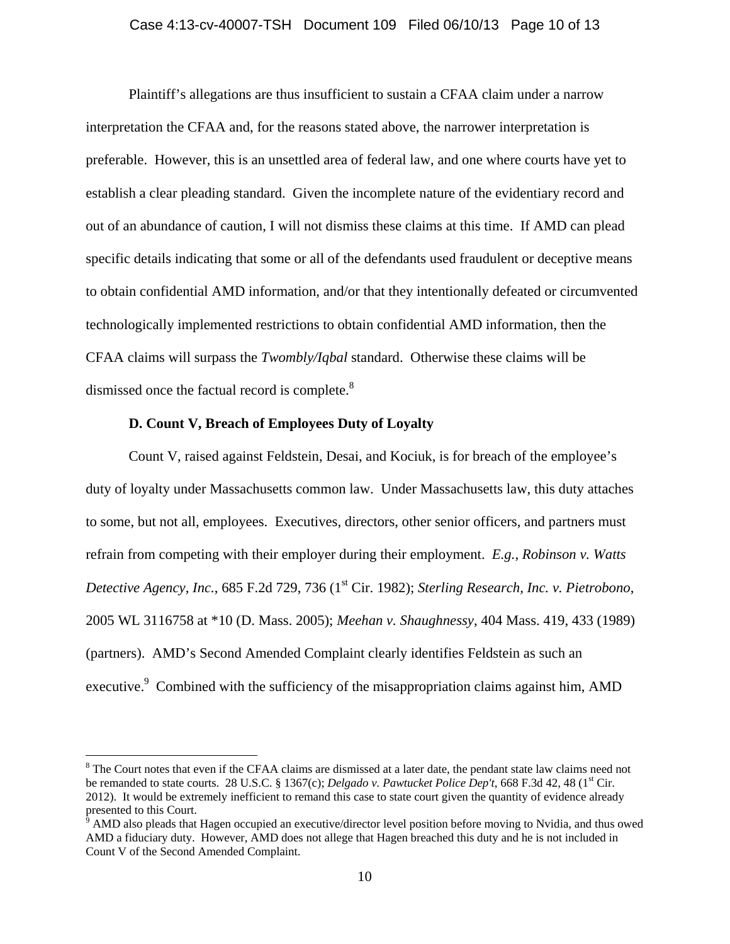#### Case 4:13-cv-40007-TSH Document 109 Filed 06/10/13 Page 10 of 13

Plaintiff's allegations are thus insufficient to sustain a CFAA claim under a narrow interpretation the CFAA and, for the reasons stated above, the narrower interpretation is preferable. However, this is an unsettled area of federal law, and one where courts have yet to establish a clear pleading standard. Given the incomplete nature of the evidentiary record and out of an abundance of caution, I will not dismiss these claims at this time. If AMD can plead specific details indicating that some or all of the defendants used fraudulent or deceptive means to obtain confidential AMD information, and/or that they intentionally defeated or circumvented technologically implemented restrictions to obtain confidential AMD information, then the CFAA claims will surpass the *Twombly/Iqbal* standard. Otherwise these claims will be dismissed once the factual record is complete.<sup>8</sup>

#### **D. Count V, Breach of Employees Duty of Loyalty**

 $\overline{a}$ 

Count V, raised against Feldstein, Desai, and Kociuk, is for breach of the employee's duty of loyalty under Massachusetts common law. Under Massachusetts law, this duty attaches to some, but not all, employees. Executives, directors, other senior officers, and partners must refrain from competing with their employer during their employment. *E.g.*, *Robinson v. Watts Detective Agency, Inc., 685 F.2d 729, 736 (1<sup>st</sup> Cir. 1982); <i>Sterling Research, Inc. v. Pietrobono,* 2005 WL 3116758 at \*10 (D. Mass. 2005); *Meehan v. Shaughnessy*, 404 Mass. 419, 433 (1989) (partners). AMD's Second Amended Complaint clearly identifies Feldstein as such an executive.<sup>9</sup> Combined with the sufficiency of the misappropriation claims against him, AMD

<sup>&</sup>lt;sup>8</sup> The Court notes that even if the CFAA claims are dismissed at a later date, the pendant state law claims need not be remanded to state courts. 28 U.S.C. § 1367(c); *Delgado v. Pawtucket Police Dep't*, 668 F.3d 42, 48 (1<sup>st</sup> Cir. 2012). It would be extremely inefficient to remand this case to state court given the quantity of evidence already presented to this Court.<br><sup>9</sup> AMD also pleads that Hagen occupied an executive/director level position before moving to Nvidia, and thus owed

AMD a fiduciary duty. However, AMD does not allege that Hagen breached this duty and he is not included in Count V of the Second Amended Complaint.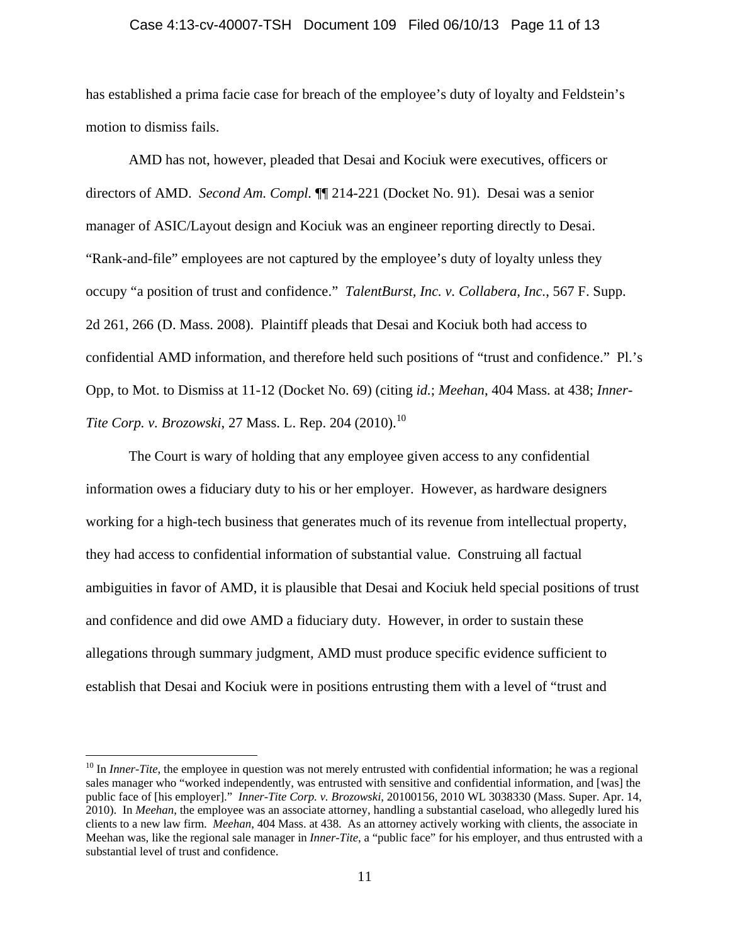#### Case 4:13-cv-40007-TSH Document 109 Filed 06/10/13 Page 11 of 13

has established a prima facie case for breach of the employee's duty of loyalty and Feldstein's motion to dismiss fails.

AMD has not, however, pleaded that Desai and Kociuk were executives, officers or directors of AMD. *Second Am. Compl.* ¶¶ 214-221 (Docket No. 91). Desai was a senior manager of ASIC/Layout design and Kociuk was an engineer reporting directly to Desai. "Rank-and-file" employees are not captured by the employee's duty of loyalty unless they occupy "a position of trust and confidence." *TalentBurst, Inc. v. Collabera, Inc.*, 567 F. Supp. 2d 261, 266 (D. Mass. 2008). Plaintiff pleads that Desai and Kociuk both had access to confidential AMD information, and therefore held such positions of "trust and confidence." Pl.'s Opp, to Mot. to Dismiss at 11-12 (Docket No. 69) (citing *id.*; *Meehan*, 404 Mass. at 438; *Inner-Tite Corp. v. Brozowski,* 27 Mass. L. Rep. 204 (2010).<sup>10</sup>

The Court is wary of holding that any employee given access to any confidential information owes a fiduciary duty to his or her employer. However, as hardware designers working for a high-tech business that generates much of its revenue from intellectual property, they had access to confidential information of substantial value. Construing all factual ambiguities in favor of AMD, it is plausible that Desai and Kociuk held special positions of trust and confidence and did owe AMD a fiduciary duty. However, in order to sustain these allegations through summary judgment, AMD must produce specific evidence sufficient to establish that Desai and Kociuk were in positions entrusting them with a level of "trust and

<sup>&</sup>lt;sup>10</sup> In *Inner-Tite*, the employee in question was not merely entrusted with confidential information; he was a regional sales manager who "worked independently, was entrusted with sensitive and confidential information, and [was] the public face of [his employer]." *Inner-Tite Corp. v. Brozowski*, 20100156, 2010 WL 3038330 (Mass. Super. Apr. 14, 2010). In *Meehan*, the employee was an associate attorney, handling a substantial caseload, who allegedly lured his clients to a new law firm. *Meehan*, 404 Mass. at 438. As an attorney actively working with clients, the associate in Meehan was, like the regional sale manager in *Inner-Tite*, a "public face" for his employer, and thus entrusted with a substantial level of trust and confidence.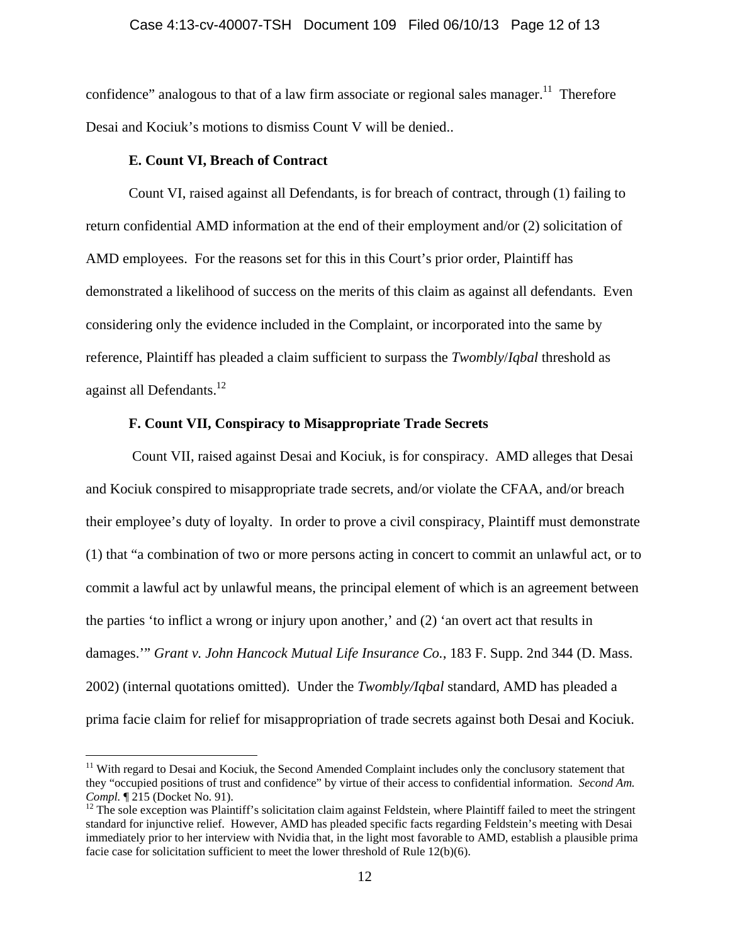confidence" analogous to that of a law firm associate or regional sales manager.<sup>11</sup> Therefore Desai and Kociuk's motions to dismiss Count V will be denied..

#### **E. Count VI, Breach of Contract**

 $\overline{a}$ 

Count VI, raised against all Defendants, is for breach of contract, through (1) failing to return confidential AMD information at the end of their employment and/or (2) solicitation of AMD employees. For the reasons set for this in this Court's prior order, Plaintiff has demonstrated a likelihood of success on the merits of this claim as against all defendants. Even considering only the evidence included in the Complaint, or incorporated into the same by reference, Plaintiff has pleaded a claim sufficient to surpass the *Twombly*/*Iqbal* threshold as against all Defendants.<sup>12</sup>

#### **F. Count VII, Conspiracy to Misappropriate Trade Secrets**

 Count VII, raised against Desai and Kociuk, is for conspiracy. AMD alleges that Desai and Kociuk conspired to misappropriate trade secrets, and/or violate the CFAA, and/or breach their employee's duty of loyalty. In order to prove a civil conspiracy, Plaintiff must demonstrate (1) that "a combination of two or more persons acting in concert to commit an unlawful act, or to commit a lawful act by unlawful means, the principal element of which is an agreement between the parties 'to inflict a wrong or injury upon another,' and (2) 'an overt act that results in damages.'" *Grant v. John Hancock Mutual Life Insurance Co.*, 183 F. Supp. 2nd 344 (D. Mass. 2002) (internal quotations omitted). Under the *Twombly/Iqbal* standard, AMD has pleaded a prima facie claim for relief for misappropriation of trade secrets against both Desai and Kociuk.

<sup>&</sup>lt;sup>11</sup> With regard to Desai and Kociuk, the Second Amended Complaint includes only the conclusory statement that they "occupied positions of trust and confidence" by virtue of their access to confidential information. *Second Am. Compl.*  $\P$  215 (Docket No. 91).<br><sup>12</sup> The sole exception was Plaintiff's solicitation claim against Feldstein, where Plaintiff failed to meet the stringent

standard for injunctive relief. However, AMD has pleaded specific facts regarding Feldstein's meeting with Desai immediately prior to her interview with Nvidia that, in the light most favorable to AMD, establish a plausible prima facie case for solicitation sufficient to meet the lower threshold of Rule 12(b)(6).